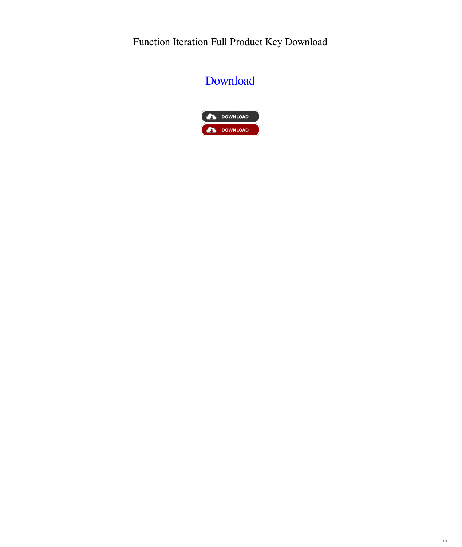Function Iteration Full Product Key Download

# [Download](http://evacdir.com/armoured/RnVuY3Rpb24gSXRlcmF0aW9uRnV/bromohydrosis/makino?ZG93bmxvYWR8eXA0WW04NGJIeDhNVFkxTkRVMU9UY3dNbng4TWpVM05IeDhLRTBwSUhKbFlXUXRZbXh2WnlCYlJtRnpkQ0JIUlU1ZA=enberg&lazier=&mashers=rewets)

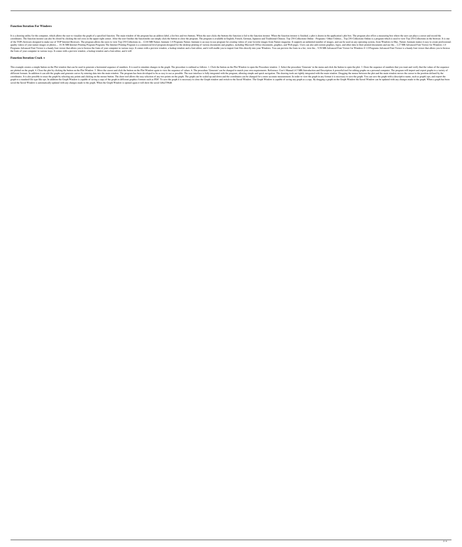#### **Function Iteration For Windows**

It is a drawing utility for the computer, which allows the user to visualize the graph of a specified function. The main window of the program has an address label, a list box and two buttoms the function iterator. When th coordinates. The function iterator can also be closed by clicking the red cross in the upper-right corner. After the user finishes the functionshe can simply click the button to close the program. The program is available of the TOPs browsers designed to make use of TOP Internet Browsers. The program allows the users to view Top 250 Collections in... 12.04 MB Nature Animate 1.0 Programs Nature Animate is an easy-to-use program for creating quality videos of your nature images or photos.... 10.36 MB Internet Printing Program Program S The Internet Printing Programs The Internet Printing Program is a commercial-level program designed for the desktop printing o Programs Advanced Font Viewer is a handy font viewer that allows you to browse the fonts of your computer in various ways. It comes with a preview window, a lookup window and a font editor, and it will enable you to import the fonts of your computer in various ways. It comes with a preview window, a lookup window and a font editor, and it will

#### **Function Iteration Crack +**

This example creates a simple button on the Plot window that can be used to generate a horizontal sequence of numbers. It is used to simulate changes in the graph. The procedure is outlined as follows: 1. Click the button are plotted on the graph. 4. Close the plot by clicking the button on the Plot Window. 5. Move the cursor and click the button on the Plot Window again to view the sequence of values. 6. The procedure 'Generate' can be cha different formats. In addition it can edit the graphs and generate curves by entering data into the main window. The program has been developed to be as easy to use as possible. The user interface is fully integrated with coordinates. It is also possible to erase the graph by selecting any points and clicking on the mouse button. The draw tool allows the easy selection of any two points on the graph. The graph can be scaled up and down and graph to a standard file type like eps. In addition the Graph Window is capable of saving a copy of the graph in different graphics formats such as PDF. To save the graph it is necessary to close the Graph Window is capabl saved the Saved Window is automatically updated with any changes made to the graph. When the Graph Window is opened again it will show the saved 1d6a3396d6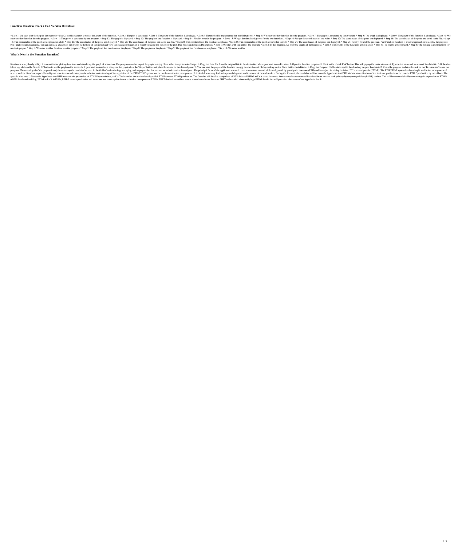## **Function Iteration Crack+ Full Version Download**

\* Step 1: We start with the help of the example \* Step 2: In this example, we enter the graph of the function. \* Step 3: The plot is generated. \* Step 4: The graph of the function is displayed. \* Step 5: The method is impl enter another function into the program. \* Step 11: The graph is generated by the program. \* Step 12: The graph is displayed. \* Step 13: The graph of the function is displayed. \* Step 14: Finally, we exit the program. \* St 19: The coordinates of the point are displayed in a file. \* Step 20: The coordinates of the point are displayed. \* Step 21: The coordinates of the point are saved in a file. \* Step 22: The coordinates of the point are disp two functions simultaneously. You can simulate changes in the graphs by the help of the mouse and view the exact coordinates of a point by placing the cursor on the plot. Pair Function Description: \* Step 2: In this exampl multiple graphs. \* Step 6: We enter another function into the program. \* Step 7: The graphs of the functions are displayed. \* Step 8: The graphs are displayed. \* Step 9: The graphs of the functions are displayed. \* Step 10

# **What's New in the Function Iteration?**

Iteration is a very handy utility. It is an editor for plotting functions and visualizing the graph of a function. The program can also export the graph to a.jpg file or other image formats. Usage: 1. Copy the Data file fr file is big, click on the 'Size to fit' button to see the graph on the screen. 6. If you want to simulate a change in the graph, click the 'Graph' button, and place the cursor on the desired point. 7. You can save the grap program. The overall goal of the proposed study is to develop the candidate's career in the field of endocrinology and aging, and to prepare her for a career as an independent investigator. The principal focus of the appli several skeletal disorders, especially malignant bone tumors and osteoporosis. A better understanding of the regulation of the PTH/PTHrP system and its involvement in the pathogenesis of skeletal disease may lead to improv specific aims are: 1) To test the hypothesis that PTH increases the production of PTHrP by osteoblasts, and 2) To determine the mechanisms by which PTH increases PTHrP production. The first aim will involve comparison of P mRNA levels and stability, PTHrP mRNA half-life, PTHrP protein production and secretion, and transcription factor activation in response to PTH in PHPT-derived osteoblasts versus normal osteoblasts. Because PHPT cells exhi